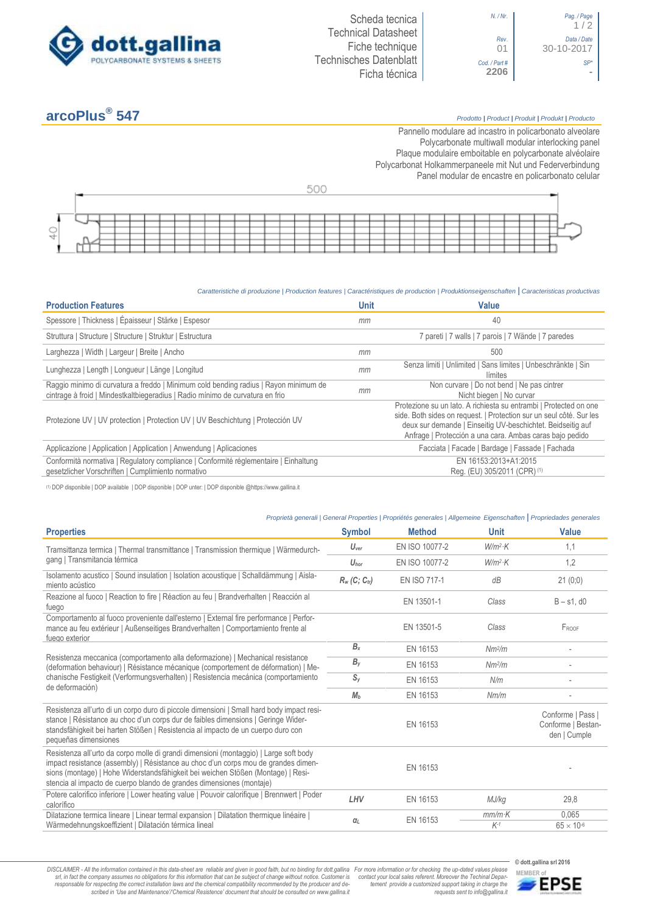



# **arcoPlus®**

# **547** *Prodotto <sup>|</sup> Product <sup>|</sup> Produit <sup>|</sup> Produkt <sup>|</sup> Producto*

Pannello modulare ad incastro in policarbonato alveolare Polycarbonate multiwall modular interlocking panel Plaque modulaire emboitable en polycarbonate alvéolaire Polycarbonat Holkammerpaneele mit Nut und Federverbindung [Panel modular de encastre en policarbonato c](http://www.google.it/url?sa=t&rct=j&q=&esrc=s&source=web&cd=6&ved=0ahUKEwiPyOW6w_3PAhXLORoKHXbkAhUQFggtMAU&url=http%3A%2F%2Fwww.getsl.com%2Fes%2Fmateriales-construccion%2Fsabic-policarbonato%2Fplaca-solida%2Flexan-exell-d-placa-translucida%2F&usg=AFQjCNF4aMpg9CRcF79iWWH-XBKKMH3eWA&bvm=bv.136811127,d.bGs)elular

| $-1$ |  |  |  |  |  |  |  |  |  |  |  |  |  |  |  |  |
|------|--|--|--|--|--|--|--|--|--|--|--|--|--|--|--|--|

# *Caratteristiche di produzione | Production features | Caractéristiques de production | Produktionseigenschaften* **|** *Caracteristicas productivas*

| <b>Production Features</b>                                                                                                                                            | <b>Unit</b> | <b>Value</b>                                                                                                                                                                                                                                                        |
|-----------------------------------------------------------------------------------------------------------------------------------------------------------------------|-------------|---------------------------------------------------------------------------------------------------------------------------------------------------------------------------------------------------------------------------------------------------------------------|
| Spessore   Thickness   Épaisseur   Stärke   Espesor                                                                                                                   | mm          | 40                                                                                                                                                                                                                                                                  |
| Struttura   Structure   Structure   Struktur   Estructura                                                                                                             |             | 7 pareti   7 walls   7 parois   7 Wände   7 paredes                                                                                                                                                                                                                 |
| Larghezza   Width   Largeur   Breite   Ancho                                                                                                                          | mm          | 500                                                                                                                                                                                                                                                                 |
| Lunghezza   Length   Longueur   Länge   Longitud                                                                                                                      | mm          | Senza limiti   Unlimited   Sans limites   Unbeschränkte   Sin<br>límites                                                                                                                                                                                            |
| Raggio minimo di curvatura a freddo   Minimum cold bending radius   Rayon minimum de<br>cintrage à froid   Mindestkaltbiegeradius   Radio mínimo de curvatura en frio | mm          | Non curvare   Do not bend   Ne pas cintrer<br>Nicht biegen   No curvar                                                                                                                                                                                              |
| Protezione UV   UV protection   Protection UV   UV Beschichtung   Protección UV                                                                                       |             | Protezione su un lato. A richiesta su entrambi   Protected on one<br>side. Both sides on request.   Protection sur un seul côté. Sur les<br>deux sur demande   Einseitig UV-beschichtet. Beidseitig auf<br>Anfrage   Protección a una cara. Ambas caras bajo pedido |
| Applicazione   Application   Application   Anwendung   Aplicaciones                                                                                                   |             | Facciata   Facade   Bardage   Fassade   Fachada                                                                                                                                                                                                                     |
| Conformità normativa   Regulatory compliance   Conformité réglementaire   Einhaltung<br>gesetzlicher Vorschriften   Cumplimiento normativo                            |             | EN 16153:2013+A1:2015<br>Reg. (EU) 305/2011 (CPR) (1)                                                                                                                                                                                                               |

(1) DOP disponibile | DOP available | DOP disponible | DOP unter: | DOP disponible @https://www.gallina.it

# *Proprietà generali | General Properties | Propriétés generales | Allgemeine Eigenschaften* **|** *Propriedades generales*

| <b>Properties</b>                                                                                                                                                                                                                                                                                                                       | <b>Symbol</b>    | <b>Method</b>  | <b>Unit</b>        | <b>Value</b>                                            |
|-----------------------------------------------------------------------------------------------------------------------------------------------------------------------------------------------------------------------------------------------------------------------------------------------------------------------------------------|------------------|----------------|--------------------|---------------------------------------------------------|
| Tramsittanza termica   Thermal transmittance   Transmission thermique   Wärmedurch-                                                                                                                                                                                                                                                     | $U_{\text{ver}}$ | EN ISO 10077-2 | $W/m^2$ ·K         | 1,1                                                     |
| gang   Transmitancia térmica                                                                                                                                                                                                                                                                                                            | $U_{\text{hor}}$ | EN ISO 10077-2 | $W/m^2$ K          | 1,2                                                     |
| Isolamento acustico   Sound insulation   Isolation acoustique   Schalldämmung   Aisla-<br>miento acústico                                                                                                                                                                                                                               | $R_w$ (C; Ctr)   | EN ISO 717-1   | dB                 | 21(0;0)                                                 |
| Reazione al fuoco   Reaction to fire   Réaction au feu   Brandverhalten   Reacción al<br>fuego                                                                                                                                                                                                                                          |                  | EN 13501-1     | Class              | $B - s1$ . d $0$                                        |
| Comportamento al fuoco proveniente dall'esterno   External fire performance   Perfor-<br>mance au feu extérieur   Außenseitiges Brandverhalten   Comportamiento frente al<br>fuego exterior                                                                                                                                             |                  | EN 13501-5     | Class              | FROOF                                                   |
|                                                                                                                                                                                                                                                                                                                                         | $B_x$            | EN 16153       | Nm <sup>2</sup> /m |                                                         |
| Resistenza meccanica (comportamento alla deformazione)   Mechanical resistance<br>(deformation behaviour)   Résistance mécanique (comportement de déformation)   Me-                                                                                                                                                                    | $B_y$            | EN 16153       | Nm <sup>2</sup> /m |                                                         |
| chanische Festigkeit (Verformungsverhalten)   Resistencia mecánica (comportamiento<br>de deformación)                                                                                                                                                                                                                                   | $S_{y}$          | EN 16153       | N/m                |                                                         |
|                                                                                                                                                                                                                                                                                                                                         | M <sub>b</sub>   | EN 16153       | Nm/m               |                                                         |
| Resistenza all'urto di un corpo duro di piccole dimensioni   Small hard body impact resi-<br>stance   Résistance au choc d'un corps dur de faibles dimensions   Geringe Wider-<br>standsfähigkeit bei harten Stößen   Resistencia al impacto de un cuerpo duro con<br>pequeñas dimensiones                                              |                  | EN 16153       |                    | Conforme   Pass  <br>Conforme   Bestan-<br>den   Cumple |
| Resistenza all'urto da corpo molle di grandi dimensioni (montaggio)   Large soft body<br>impact resistance (assembly)   Résistance au choc d'un corps mou de grandes dimen-<br>sions (montage)   Hohe Widerstandsfähigkeit bei weichen Stößen (Montage)   Resi-<br>stencia al impacto de cuerpo blando de grandes dimensiones (montaje) |                  | EN 16153       |                    |                                                         |
| Potere calorifico inferiore   Lower heating value   Pouvoir calorifique   Brennwert   Poder<br>calorífico                                                                                                                                                                                                                               | LHV              | EN 16153       | MJ/kg              | 29,8                                                    |
| Dilatazione termica lineare   Linear termal expansion   Dilatation thermique linéaire  <br>Wärmedehnungskoeffizient   Dilatación térmica lineal                                                                                                                                                                                         | $\alpha_L$       | EN 16153       | $mm/m$ K<br>$K-1$  | 0.065<br>$65 \times 10^{-6}$                            |

DISCLAIMER - All the information contained in this data-sheet are reliable and given in good faith, but no binding for dott.gallina For more information or for checking the up-dated values please<br>-srl, in fact the company -responsable for respecting the correct installation laws and the chemical compatibility recommended by the producer and de-<br>scribed in 'Use and Maintenance'/'Chemical Resistence' document that should be consulted on www.g

*tement provide a customized support taking in charge the requests sent to info@gallina.it*